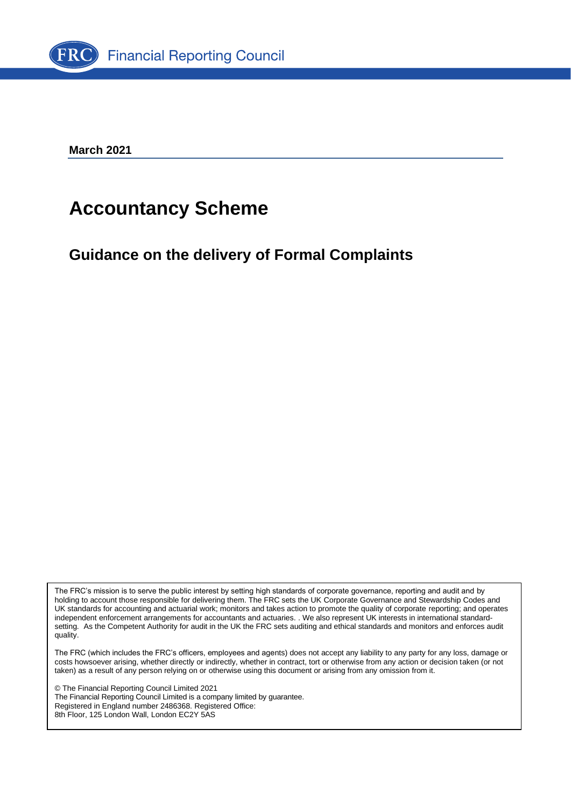

**March 2021**

# **Accountancy Scheme**

**Guidance on the delivery of Formal Complaints**

The FRC's mission is to serve the public interest by setting high standards of corporate governance, reporting and audit and by holding to account those responsible for delivering them. The FRC sets the UK Corporate Governance and Stewardship Codes and UK standards for accounting and actuarial work; monitors and takes action to promote the quality of corporate reporting; and operates independent enforcement arrangements for accountants and actuaries. . We also represent UK interests in international standardsetting. As the Competent Authority for audit in the UK the FRC sets auditing and ethical standards and monitors and enforces audit quality.

The FRC (which includes the FRC's officers, employees and agents) does not accept any liability to any party for any loss, damage or costs howsoever arising, whether directly or indirectly, whether in contract, tort or otherwise from any action or decision taken (or not taken) as a result of any person relying on or otherwise using this document or arising from any omission from it.

© The Financial Reporting Council Limited 2021 The Financial Reporting Council Limited is a company limited by guarantee. Registered in England number 2486368. Registered Office: 8th Floor, 125 London Wall, London EC2Y 5AS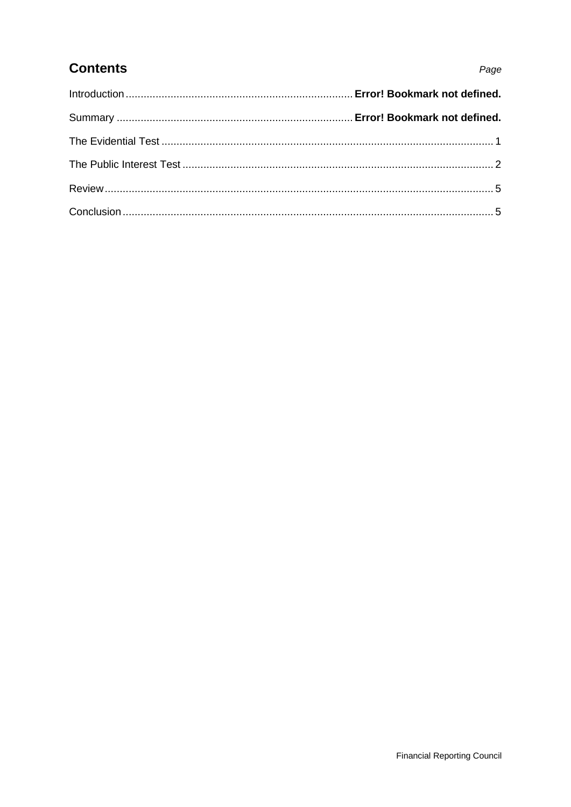## **Contents**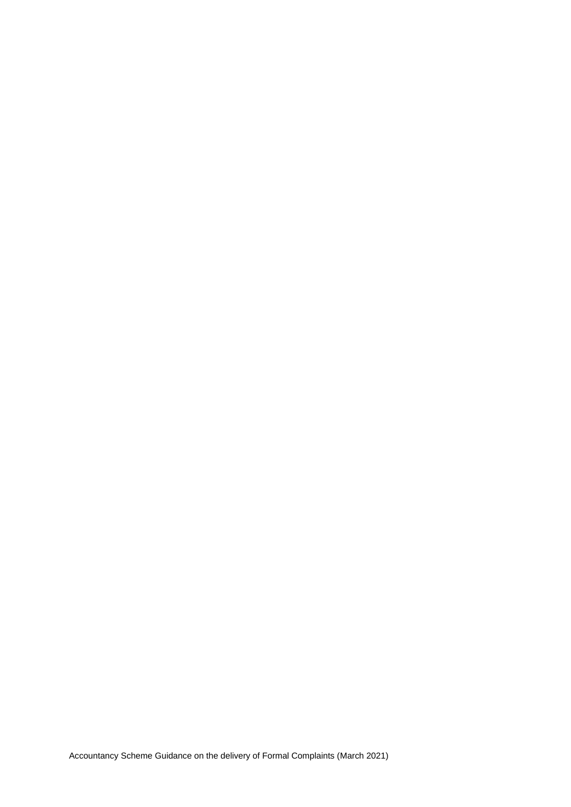Accountancy Scheme Guidance on the delivery of Formal Complaints (March 2021)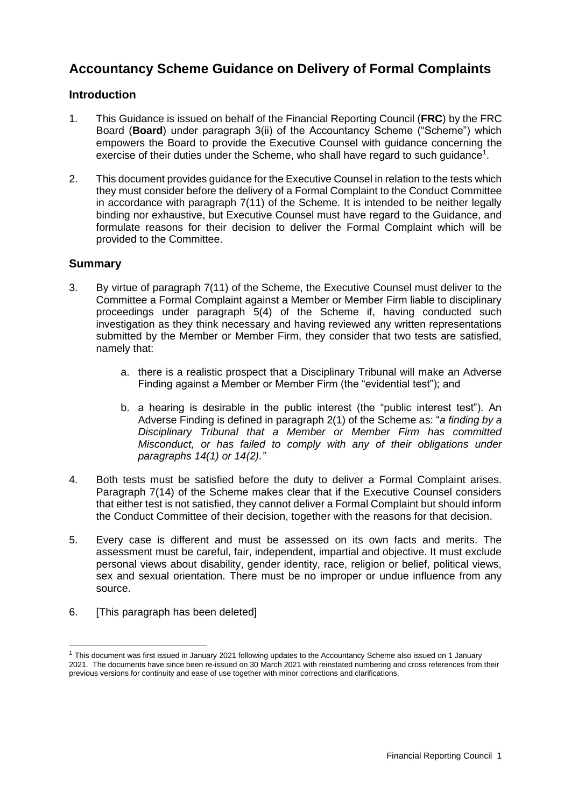### **Accountancy Scheme Guidance on Delivery of Formal Complaints**

#### **Introduction**

- 1. This Guidance is issued on behalf of the Financial Reporting Council (**FRC**) by the FRC Board (**Board**) under paragraph 3(ii) of the Accountancy Scheme ("Scheme") which empowers the Board to provide the Executive Counsel with guidance concerning the exercise of their duties under the Scheme, who shall have regard to such guidance<sup>1</sup>.
- 2. This document provides guidance for the Executive Counsel in relation to the tests which they must consider before the delivery of a Formal Complaint to the Conduct Committee in accordance with paragraph 7(11) of the Scheme. It is intended to be neither legally binding nor exhaustive, but Executive Counsel must have regard to the Guidance, and formulate reasons for their decision to deliver the Formal Complaint which will be provided to the Committee.

#### **Summary**

- 3. By virtue of paragraph 7(11) of the Scheme, the Executive Counsel must deliver to the Committee a Formal Complaint against a Member or Member Firm liable to disciplinary proceedings under paragraph 5(4) of the Scheme if, having conducted such investigation as they think necessary and having reviewed any written representations submitted by the Member or Member Firm, they consider that two tests are satisfied, namely that:
	- a. there is a realistic prospect that a Disciplinary Tribunal will make an Adverse Finding against a Member or Member Firm (the "evidential test"); and
	- b. a hearing is desirable in the public interest (the "public interest test"). An Adverse Finding is defined in paragraph 2(1) of the Scheme as: "*a finding by a Disciplinary Tribunal that a Member or Member Firm has committed Misconduct, or has failed to comply with any of their obligations under paragraphs 14(1) or 14(2)."*
- 4. Both tests must be satisfied before the duty to deliver a Formal Complaint arises. Paragraph 7(14) of the Scheme makes clear that if the Executive Counsel considers that either test is not satisfied, they cannot deliver a Formal Complaint but should inform the Conduct Committee of their decision, together with the reasons for that decision.
- 5. Every case is different and must be assessed on its own facts and merits. The assessment must be careful, fair, independent, impartial and objective. It must exclude personal views about disability, gender identity, race, religion or belief, political views, sex and sexual orientation. There must be no improper or undue influence from any source.
- 6. [This paragraph has been deleted]

<sup>1</sup> This document was first issued in January 2021 following updates to the Accountancy Scheme also issued on 1 January 2021. The documents have since been re-issued on 30 March 2021 with reinstated numbering and cross references from their previous versions for continuity and ease of use together with minor corrections and clarifications.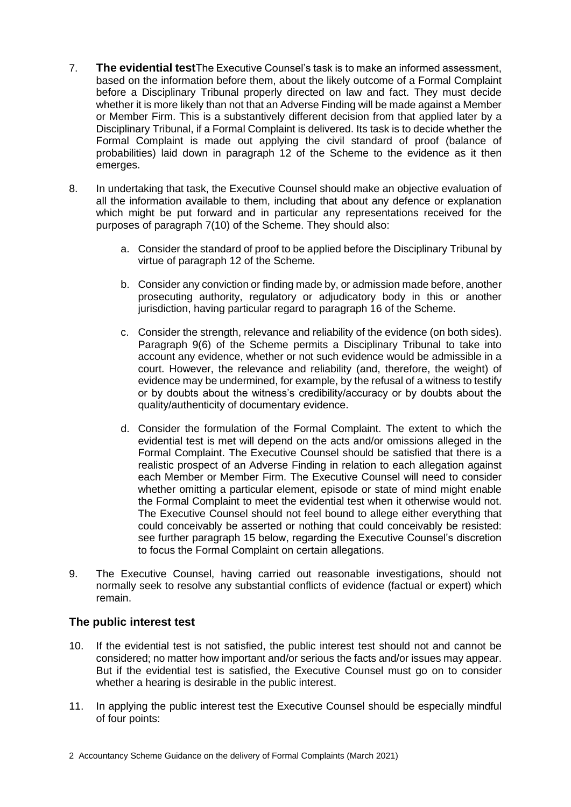- 7. **The evidential test**The Executive Counsel's task is to make an informed assessment, based on the information before them, about the likely outcome of a Formal Complaint before a Disciplinary Tribunal properly directed on law and fact. They must decide whether it is more likely than not that an Adverse Finding will be made against a Member or Member Firm. This is a substantively different decision from that applied later by a Disciplinary Tribunal, if a Formal Complaint is delivered. Its task is to decide whether the Formal Complaint is made out applying the civil standard of proof (balance of probabilities) laid down in paragraph 12 of the Scheme to the evidence as it then emerges.
- 8. In undertaking that task, the Executive Counsel should make an objective evaluation of all the information available to them, including that about any defence or explanation which might be put forward and in particular any representations received for the purposes of paragraph 7(10) of the Scheme. They should also:
	- a. Consider the standard of proof to be applied before the Disciplinary Tribunal by virtue of paragraph 12 of the Scheme.
	- b. Consider any conviction or finding made by, or admission made before, another prosecuting authority, regulatory or adjudicatory body in this or another jurisdiction, having particular regard to paragraph 16 of the Scheme.
	- c. Consider the strength, relevance and reliability of the evidence (on both sides). Paragraph 9(6) of the Scheme permits a Disciplinary Tribunal to take into account any evidence, whether or not such evidence would be admissible in a court. However, the relevance and reliability (and, therefore, the weight) of evidence may be undermined, for example, by the refusal of a witness to testify or by doubts about the witness's credibility/accuracy or by doubts about the quality/authenticity of documentary evidence.
	- d. Consider the formulation of the Formal Complaint. The extent to which the evidential test is met will depend on the acts and/or omissions alleged in the Formal Complaint. The Executive Counsel should be satisfied that there is a realistic prospect of an Adverse Finding in relation to each allegation against each Member or Member Firm. The Executive Counsel will need to consider whether omitting a particular element, episode or state of mind might enable the Formal Complaint to meet the evidential test when it otherwise would not. The Executive Counsel should not feel bound to allege either everything that could conceivably be asserted or nothing that could conceivably be resisted: see further paragraph 15 below, regarding the Executive Counsel's discretion to focus the Formal Complaint on certain allegations.
- 9. The Executive Counsel, having carried out reasonable investigations, should not normally seek to resolve any substantial conflicts of evidence (factual or expert) which remain.

#### **The public interest test**

- 10. If the evidential test is not satisfied, the public interest test should not and cannot be considered; no matter how important and/or serious the facts and/or issues may appear. But if the evidential test is satisfied, the Executive Counsel must go on to consider whether a hearing is desirable in the public interest.
- 11. In applying the public interest test the Executive Counsel should be especially mindful of four points: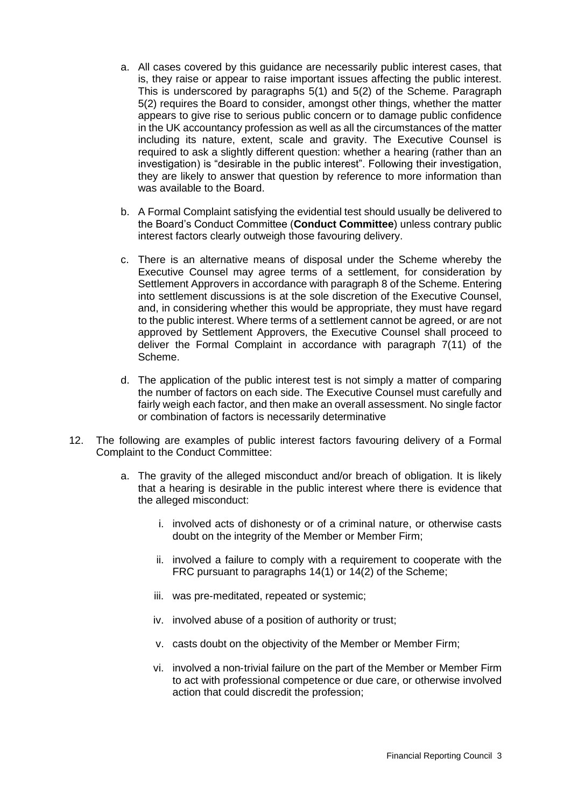- a. All cases covered by this guidance are necessarily public interest cases, that is, they raise or appear to raise important issues affecting the public interest. This is underscored by paragraphs 5(1) and 5(2) of the Scheme. Paragraph 5(2) requires the Board to consider, amongst other things, whether the matter appears to give rise to serious public concern or to damage public confidence in the UK accountancy profession as well as all the circumstances of the matter including its nature, extent, scale and gravity. The Executive Counsel is required to ask a slightly different question: whether a hearing (rather than an investigation) is "desirable in the public interest". Following their investigation, they are likely to answer that question by reference to more information than was available to the Board.
- b. A Formal Complaint satisfying the evidential test should usually be delivered to the Board's Conduct Committee (**Conduct Committee**) unless contrary public interest factors clearly outweigh those favouring delivery.
- c. There is an alternative means of disposal under the Scheme whereby the Executive Counsel may agree terms of a settlement, for consideration by Settlement Approvers in accordance with paragraph 8 of the Scheme. Entering into settlement discussions is at the sole discretion of the Executive Counsel, and, in considering whether this would be appropriate, they must have regard to the public interest. Where terms of a settlement cannot be agreed, or are not approved by Settlement Approvers, the Executive Counsel shall proceed to deliver the Formal Complaint in accordance with paragraph 7(11) of the Scheme.
- d. The application of the public interest test is not simply a matter of comparing the number of factors on each side. The Executive Counsel must carefully and fairly weigh each factor, and then make an overall assessment. No single factor or combination of factors is necessarily determinative
- 12. The following are examples of public interest factors favouring delivery of a Formal Complaint to the Conduct Committee:
	- a. The gravity of the alleged misconduct and/or breach of obligation. It is likely that a hearing is desirable in the public interest where there is evidence that the alleged misconduct:
		- i. involved acts of dishonesty or of a criminal nature, or otherwise casts doubt on the integrity of the Member or Member Firm;
		- ii. involved a failure to comply with a requirement to cooperate with the FRC pursuant to paragraphs 14(1) or 14(2) of the Scheme;
		- iii. was pre‐meditated, repeated or systemic;
		- iv. involved abuse of a position of authority or trust;
		- v. casts doubt on the objectivity of the Member or Member Firm;
		- vi. involved a non‐trivial failure on the part of the Member or Member Firm to act with professional competence or due care, or otherwise involved action that could discredit the profession;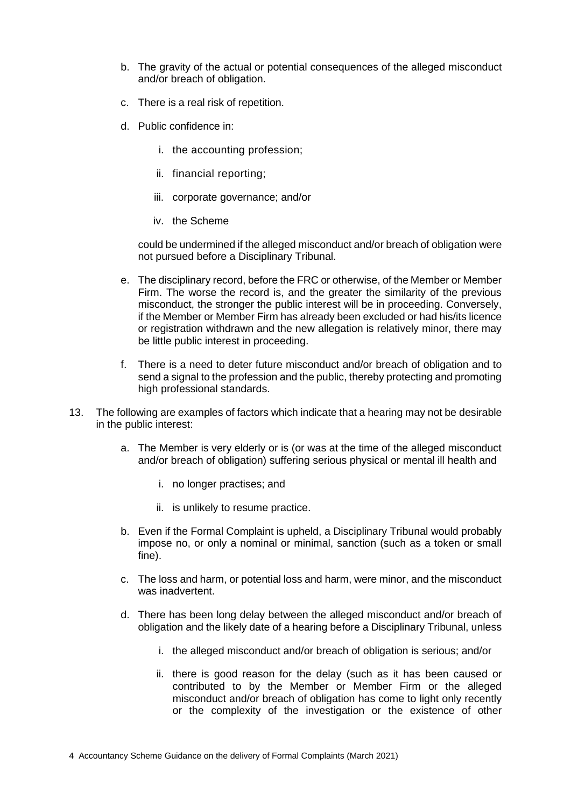- b. The gravity of the actual or potential consequences of the alleged misconduct and/or breach of obligation.
- c. There is a real risk of repetition.
- d. Public confidence in:
	- i. the accounting profession;
	- ii. financial reporting;
	- iii. corporate governance; and/or
	- iv. the Scheme

could be undermined if the alleged misconduct and/or breach of obligation were not pursued before a Disciplinary Tribunal.

- e. The disciplinary record, before the FRC or otherwise, of the Member or Member Firm. The worse the record is, and the greater the similarity of the previous misconduct, the stronger the public interest will be in proceeding. Conversely, if the Member or Member Firm has already been excluded or had his/its licence or registration withdrawn and the new allegation is relatively minor, there may be little public interest in proceeding.
- f. There is a need to deter future misconduct and/or breach of obligation and to send a signal to the profession and the public, thereby protecting and promoting high professional standards.
- 13. The following are examples of factors which indicate that a hearing may not be desirable in the public interest:
	- a. The Member is very elderly or is (or was at the time of the alleged misconduct and/or breach of obligation) suffering serious physical or mental ill health and
		- i. no longer practises; and
		- ii. is unlikely to resume practice.
	- b. Even if the Formal Complaint is upheld, a Disciplinary Tribunal would probably impose no, or only a nominal or minimal, sanction (such as a token or small fine).
	- c. The loss and harm, or potential loss and harm, were minor, and the misconduct was inadvertent.
	- d. There has been long delay between the alleged misconduct and/or breach of obligation and the likely date of a hearing before a Disciplinary Tribunal, unless
		- i. the alleged misconduct and/or breach of obligation is serious; and/or
		- ii. there is good reason for the delay (such as it has been caused or contributed to by the Member or Member Firm or the alleged misconduct and/or breach of obligation has come to light only recently or the complexity of the investigation or the existence of other